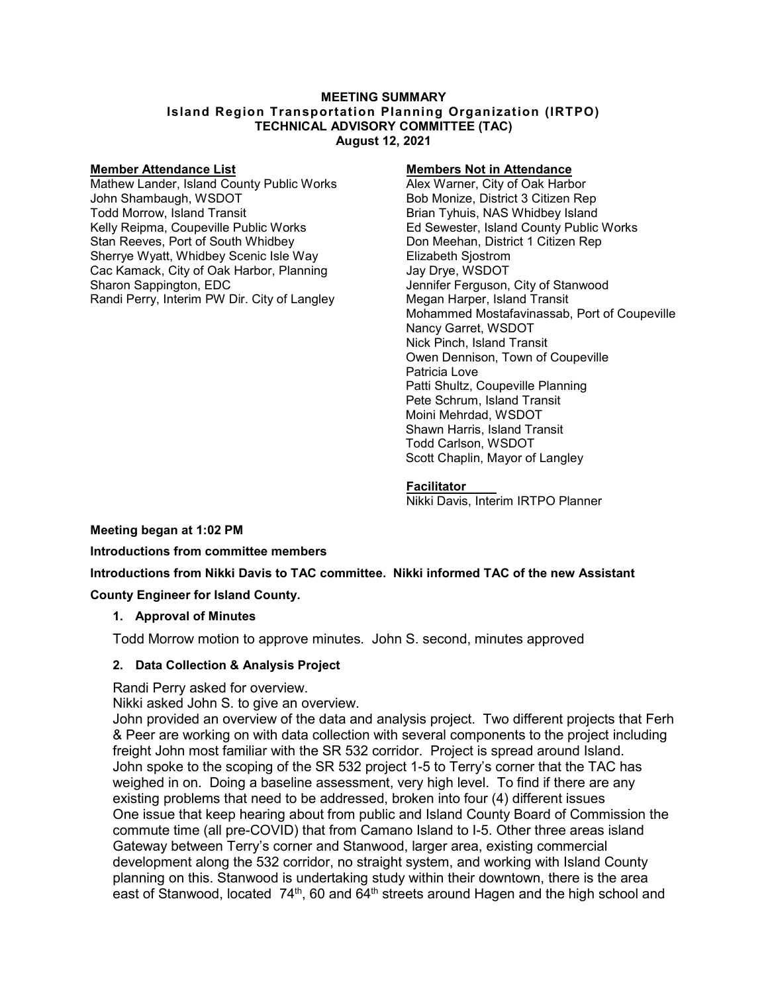#### **MEETING SUMMARY Island Region Transportation Planning Organization (IRTPO) TECHNICAL ADVISORY COMMITTEE (TAC) August 12, 2021**

**Member Attendance List Members Not in Attendance** Mathew Lander, Island County Public Works John Shambaugh, WSDOT Bob Monize, District 3 Citizen Rep Todd Morrow, Island Transit Brian Tyhuis, NAS Whidbey Island Stan Reeves, Port of South Whidbey **Don Meehan, District 1 Citizen Rep** Sherrye Wyatt, Whidbey Scenic Isle Way Elizabeth Sjostrom Cac Kamack, City of Oak Harbor, Planning Jay Drye, WSDOT Sharon Sappington, EDC<br>
Randi Perry, Interim PW Dir. City of Langley<br>
Megan Harper, Island Transit Randi Perry, Interim PW Dir. City of Langley

Ed Sewester, Island County Public Works Mohammed Mostafavinassab, Port of Coupeville Nancy Garret, WSDOT Nick Pinch, Island Transit Owen Dennison, Town of Coupeville Patricia Love Patti Shultz, Coupeville Planning Pete Schrum, Island Transit Moini Mehrdad, WSDOT Shawn Harris, Island Transit Todd Carlson, WSDOT Scott Chaplin, Mayor of Langley

#### **Facilitator**

Nikki Davis, Interim IRTPO Planner

**Meeting began at 1:02 PM**

**Introductions from committee members**

**Introductions from Nikki Davis to TAC committee. Nikki informed TAC of the new Assistant** 

#### **County Engineer for Island County.**

#### **1. Approval of Minutes**

Todd Morrow motion to approve minutes. John S. second, minutes approved

## **2. Data Collection & Analysis Project**

Randi Perry asked for overview.

Nikki asked John S. to give an overview.

John provided an overview of the data and analysis project. Two different projects that Ferh & Peer are working on with data collection with several components to the project including freight John most familiar with the SR 532 corridor. Project is spread around Island. John spoke to the scoping of the SR 532 project 1-5 to Terry's corner that the TAC has weighed in on. Doing a baseline assessment, very high level. To find if there are any existing problems that need to be addressed, broken into four (4) different issues One issue that keep hearing about from public and Island County Board of Commission the commute time (all pre-COVID) that from Camano Island to I-5. Other three areas island Gateway between Terry's corner and Stanwood, larger area, existing commercial development along the 532 corridor, no straight system, and working with Island County planning on this. Stanwood is undertaking study within their downtown, there is the area east of Stanwood, located 74<sup>th</sup>, 60 and 64<sup>th</sup> streets around Hagen and the high school and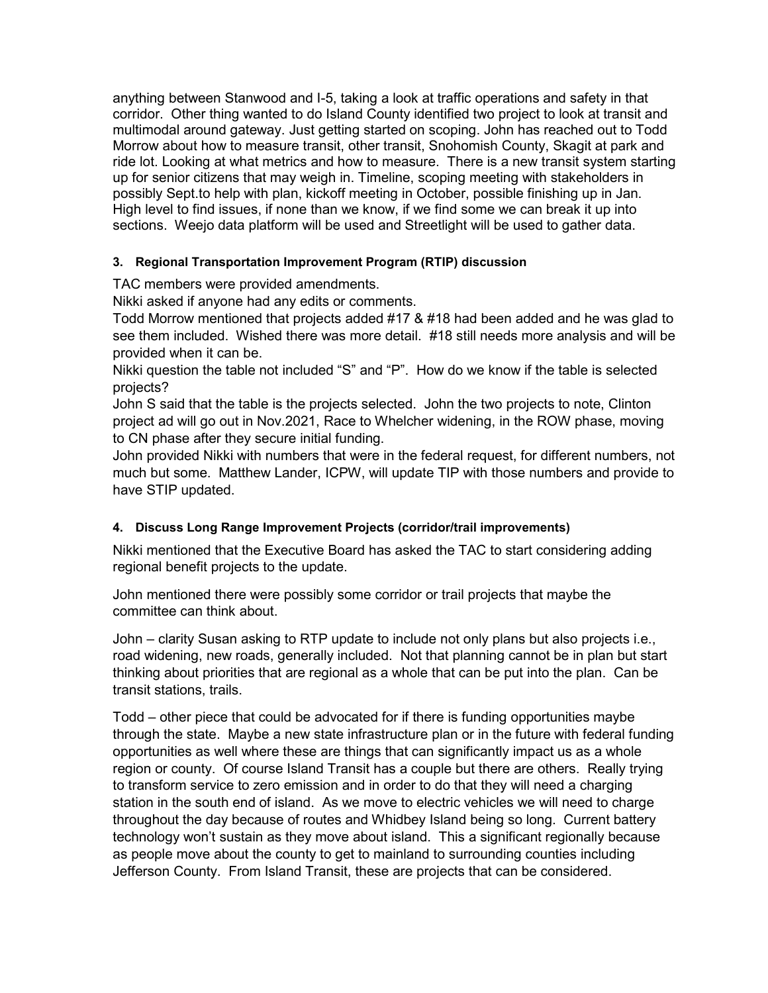anything between Stanwood and I-5, taking a look at traffic operations and safety in that corridor. Other thing wanted to do Island County identified two project to look at transit and multimodal around gateway. Just getting started on scoping. John has reached out to Todd Morrow about how to measure transit, other transit, Snohomish County, Skagit at park and ride lot. Looking at what metrics and how to measure. There is a new transit system starting up for senior citizens that may weigh in. Timeline, scoping meeting with stakeholders in possibly Sept.to help with plan, kickoff meeting in October, possible finishing up in Jan. High level to find issues, if none than we know, if we find some we can break it up into sections. Weejo data platform will be used and Streetlight will be used to gather data.

# **3. Regional Transportation Improvement Program (RTIP) discussion**

TAC members were provided amendments.

Nikki asked if anyone had any edits or comments.

Todd Morrow mentioned that projects added #17 & #18 had been added and he was glad to see them included. Wished there was more detail. #18 still needs more analysis and will be provided when it can be.

Nikki question the table not included "S" and "P". How do we know if the table is selected projects?

John S said that the table is the projects selected. John the two projects to note, Clinton project ad will go out in Nov.2021, Race to Whelcher widening, in the ROW phase, moving to CN phase after they secure initial funding.

John provided Nikki with numbers that were in the federal request, for different numbers, not much but some. Matthew Lander, ICPW, will update TIP with those numbers and provide to have STIP updated.

## **4. Discuss Long Range Improvement Projects (corridor/trail improvements)**

Nikki mentioned that the Executive Board has asked the TAC to start considering adding regional benefit projects to the update.

John mentioned there were possibly some corridor or trail projects that maybe the committee can think about.

John – clarity Susan asking to RTP update to include not only plans but also projects i.e., road widening, new roads, generally included. Not that planning cannot be in plan but start thinking about priorities that are regional as a whole that can be put into the plan. Can be transit stations, trails.

Todd – other piece that could be advocated for if there is funding opportunities maybe through the state. Maybe a new state infrastructure plan or in the future with federal funding opportunities as well where these are things that can significantly impact us as a whole region or county. Of course Island Transit has a couple but there are others. Really trying to transform service to zero emission and in order to do that they will need a charging station in the south end of island. As we move to electric vehicles we will need to charge throughout the day because of routes and Whidbey Island being so long. Current battery technology won't sustain as they move about island. This a significant regionally because as people move about the county to get to mainland to surrounding counties including Jefferson County. From Island Transit, these are projects that can be considered.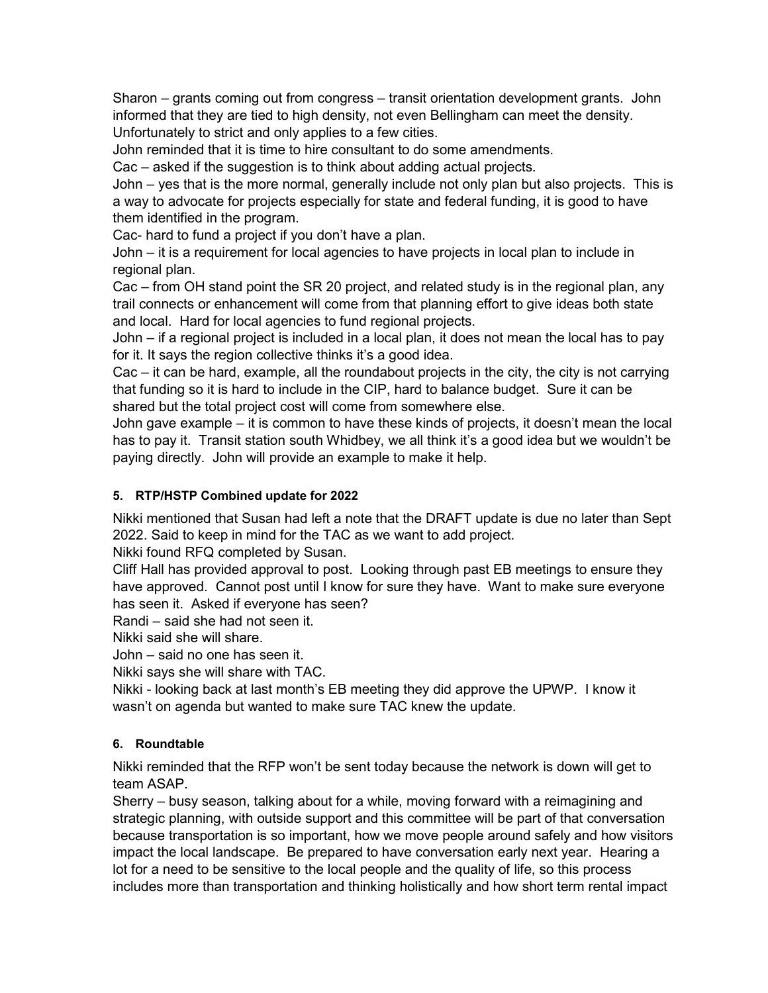Sharon – grants coming out from congress – transit orientation development grants. John informed that they are tied to high density, not even Bellingham can meet the density. Unfortunately to strict and only applies to a few cities.

John reminded that it is time to hire consultant to do some amendments.

Cac – asked if the suggestion is to think about adding actual projects.

John – yes that is the more normal, generally include not only plan but also projects. This is a way to advocate for projects especially for state and federal funding, it is good to have them identified in the program.

Cac- hard to fund a project if you don't have a plan.

John – it is a requirement for local agencies to have projects in local plan to include in regional plan.

Cac – from OH stand point the SR 20 project, and related study is in the regional plan, any trail connects or enhancement will come from that planning effort to give ideas both state and local. Hard for local agencies to fund regional projects.

John – if a regional project is included in a local plan, it does not mean the local has to pay for it. It says the region collective thinks it's a good idea.

Cac – it can be hard, example, all the roundabout projects in the city, the city is not carrying that funding so it is hard to include in the CIP, hard to balance budget. Sure it can be shared but the total project cost will come from somewhere else.

John gave example – it is common to have these kinds of projects, it doesn't mean the local has to pay it. Transit station south Whidbey, we all think it's a good idea but we wouldn't be paying directly. John will provide an example to make it help.

## **5. RTP/HSTP Combined update for 2022**

Nikki mentioned that Susan had left a note that the DRAFT update is due no later than Sept 2022. Said to keep in mind for the TAC as we want to add project.

Nikki found RFQ completed by Susan.

Cliff Hall has provided approval to post. Looking through past EB meetings to ensure they have approved. Cannot post until I know for sure they have. Want to make sure everyone has seen it. Asked if everyone has seen?

Randi – said she had not seen it.

Nikki said she will share.

John – said no one has seen it.

Nikki says she will share with TAC.

Nikki - looking back at last month's EB meeting they did approve the UPWP. I know it wasn't on agenda but wanted to make sure TAC knew the update.

## **6. Roundtable**

Nikki reminded that the RFP won't be sent today because the network is down will get to team ASAP.

Sherry – busy season, talking about for a while, moving forward with a reimagining and strategic planning, with outside support and this committee will be part of that conversation because transportation is so important, how we move people around safely and how visitors impact the local landscape. Be prepared to have conversation early next year. Hearing a lot for a need to be sensitive to the local people and the quality of life, so this process includes more than transportation and thinking holistically and how short term rental impact